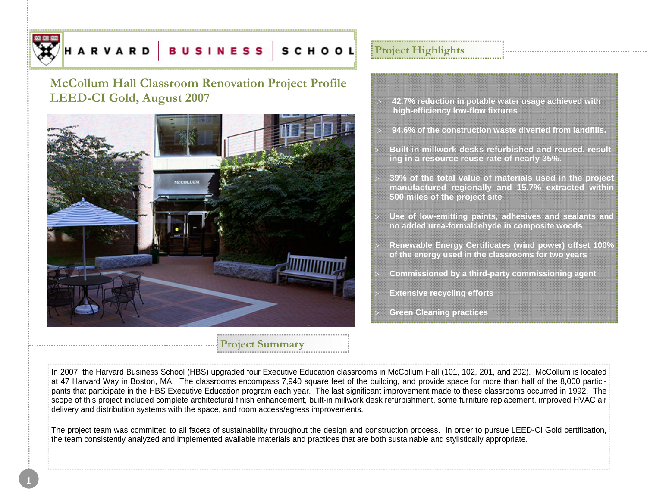

# **McCollum Hall Classroom Renovation Project Profile LEED-CI Gold, August 2007**



# **Project Summary**

# **Project Highlights**

- <sup>&</sup>gt;**42.7% reduction in potable water usage achieved with high-efficiency low-flow fixtures**
- > **94.6% of the construction waste diverted from landfills.**
- > **Built-in millwork desks refurbished and reused, resulting in a resource reuse rate of nearly 35%.**
- <sup>&</sup>gt;**39% of the total value of materials used in the project manufactured regionally and 15.7% extracted within 500 miles of the project site**
- <sup>&</sup>gt;**Use of low-emitting paints, adhesives and sealants and no added urea-formaldehyde in composite woods**
- <sup>&</sup>gt;**Renewable Energy Certificates (wind power) offset 100% of the energy used in the classrooms for two years**
- <sup>&</sup>gt;**Commissioned by a third-party commissioning agent**
- **Extensive recycling efforts**
- <sup>&</sup>gt;**Green Cleaning practices**

In 2007, the Harvard Business School (HBS) upgraded four Executive Education classrooms in McCollum Hall (101, 102, 201, and 202). McCollum is located at 47 Harvard Way in Boston, MA. The classrooms encompass 7,940 square feet of the building, and provide space for more than half of the 8,000 participants that participate in the HBS Executive Education program each year. The last significant improvement made to these classrooms occurred in 1992. The scope of this project included complete architectural finish enhancement, built-in millwork desk refurbishment, some furniture replacement, improved HVAC air delivery and distribution systems with the space, and room access/egress improvements.

The project team was committed to all facets of sustainability throughout the design and construction process. In order to pursue LEED-CI Gold certification, the team consistently analyzed and implemented available materials and practices that are both sustainable and stylistically appropriate.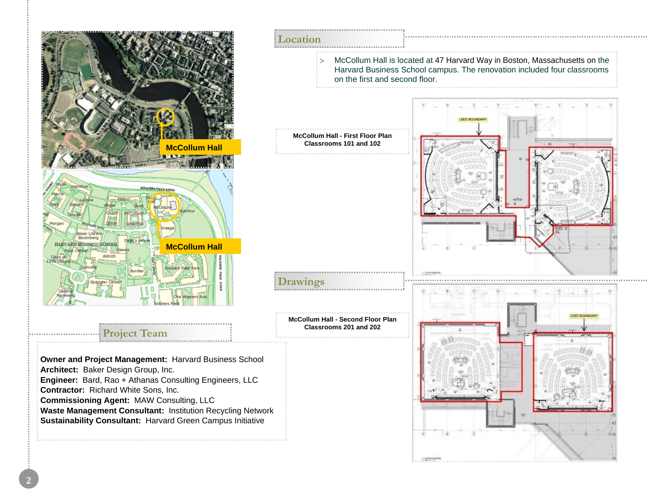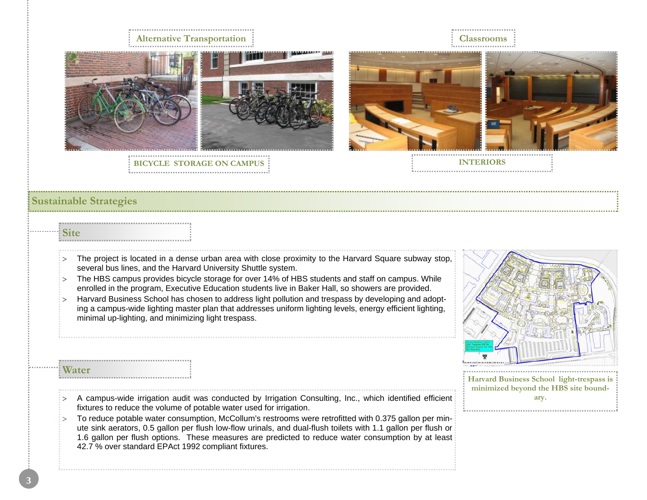# **Alternative Transportation Classrooms**

**BICYCLE STORAGE ON CAMPUS**

**INTERIORS** 

## **Sustainable Strategies**

## **Site**

- $\Rightarrow$  The project is located in a dense urban area with close proximity to the Harvard Square subway stop, several bus lines, and the Harvard University Shuttle system.
- $\Rightarrow$  The HBS campus provides bicycle storage for over 14% of HBS students and staff on campus. While enrolled in the program, Executive Education students live in Baker Hall, so showers are provided.
- > Harvard Business School has chosen to address light pollution and trespass by developing and adopting a campus-wide lighting master plan that addresses uniform lighting levels, energy efficient lighting, minimal up-lighting, and minimizing light trespass.



**Harvard Business School light-trespass is minimized beyond the HBS site boundary.**

## **Water**

- $\geq$  A campus-wide irrigation audit was conducted by Irrigation Consulting, Inc., which identified efficient fixtures to reduce the volume of potable water used for irrigation.
- > To reduce potable water consumption, McCollum's restrooms were retrofitted with 0.375 gallon per minute sink aerators, 0.5 gallon per flush low-flow urinals, and dual-flush toilets with 1.1 gallon per flush or 1.6 gallon per flush options. These measures are predicted to reduce water consumption by at least 42.7 % over standard EPAct 1992 compliant fixtures.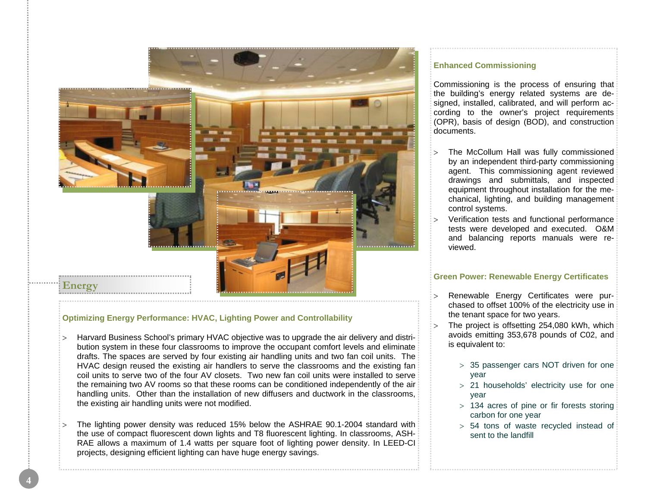

## **Optimizing Energy Performance: HVAC, Lighting Power and Controllability**

- > Harvard Business School's primary HVAC objective was to upgrade the air delivery and distribution system in these four classrooms to improve the occupant comfort levels and eliminate drafts. The spaces are served by four existing air handling units and two fan coil units. The HVAC design reused the existing air handlers to serve the classrooms and the existing fan coil units to serve two of the four AV closets. Two new fan coil units were installed to serve the remaining two AV rooms so that these rooms can be conditioned independently of the air handling units. Other than the installation of new diffusers and ductwork in the classrooms, the existing air handling units were not modified.
- <sup>&</sup>gt;The lighting power density was reduced 15% below the ASHRAE 90.1-2004 standard with the use of compact fluorescent down lights and T8 fluorescent lighting. In classrooms, ASH-RAE allows a maximum of 1.4 watts per square foot of lighting power density. In LEED-CI projects, designing efficient lighting can have huge energy savings.

## **Enhanced Commissioning**

Commissioning is the process of ensuring that the building's energy related systems are designed, installed, calibrated, and will perform according to the owner's project requirements (OPR), basis of design (BOD), and construction documents.

- The McCollum Hall was fully commissioned by an independent third-party commissioning agent. This commissioning agent reviewed drawings and submittals, and inspected equipment throughout installation for the mechanical, lighting, and building management control systems.
- <sup>&</sup>gt;Verification tests and functional performance tests were developed and executed. O&M and balancing reports manuals were reviewed.

## **Green Power: Renewable Energy Certificates**

- > Renewable Energy Certificates were purchased to offset 100% of the electricity use in the tenant space for two years.
- The project is offsetting 254,080 kWh, which avoids emitting 353,678 pounds of C02, and is equivalent to:
	- <sup>&</sup>gt;35 passenger cars NOT driven for one year
	- <sup>&</sup>gt;21 households' electricity use for one year
	- <sup>&</sup>gt;134 acres of pine or fir forests storing carbon for one year
	- <sup>&</sup>gt;54 tons of waste recycled instead of sent to the landfill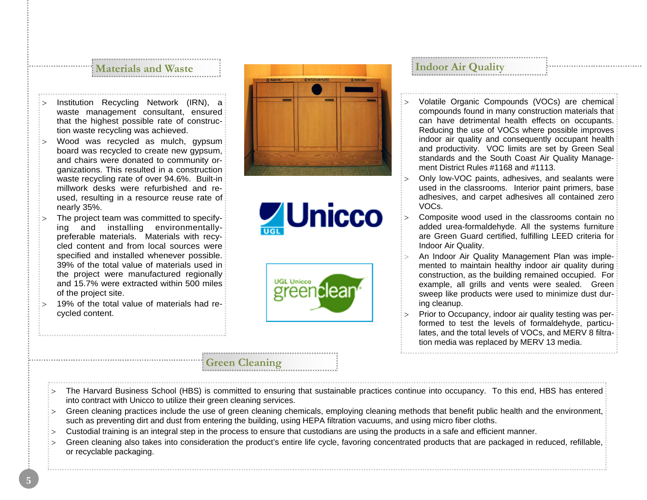## **Materials and Waste**

- <sup>&</sup>gt;Institution Recycling Network (IRN), a waste management consultant, ensured that the highest possible rate of construction waste recycling was achieved.
- Wood was recycled as mulch, gypsum board was recycled to create new gypsum, and chairs were donated to community organizations. This resulted in a construction waste recycling rate of over 94.6%. Built-in millwork desks were refurbished and reused, resulting in a resource reuse rate of nearly 35%.
- The project team was committed to specifying and installing environmentallypreferable materials. Materials with recycled content and from local sources were specified and installed whenever possible. 39% of the total value of materials used in the project were manufactured regionally and 15.7% were extracted within 500 miles of the project site.
- > 19% of the total value of materials had recycled content.







**Indoor Air Quality** 

- <sup>&</sup>gt;Volatile Organic Compounds (VOCs) are chemical compounds found in many construction materials that can have detrimental health effects on occupants. Reducing the use of VOCs where possible improves indoor air quality and consequently occupant health and productivity. VOC limits are set by Green Seal standards and the South Coast Air Quality Management District Rules #1168 and #1113.
- Only low-VOC paints, adhesives, and sealants were used in the classrooms. Interior paint primers, base adhesives, and carpet adhesives all contained zero VOCs.
- Composite wood used in the classrooms contain no added urea-formaldehyde. All the systems furniture are Green Guard certified, fulfilling LEED criteria for Indoor Air Quality.
- > An Indoor Air Quality Management Plan was implemented to maintain healthy indoor air quality during construction, as the building remained occupied. For example, all grills and vents were sealed. Green sweep like products were used to minimize dust during cleanup.
- Prior to Occupancy, indoor air quality testing was performed to test the levels of formaldehyde, particulates, and the total levels of VOCs, and MERV 8 filtration media was replaced by MERV 13 media.
- The Harvard Business School (HBS) is committed to ensuring that sustainable practices continue into occupancy. To this end, HBS has entered into contract with Unicco to utilize their green cleaning services.
- Green cleaning practices include the use of green cleaning chemicals, employing cleaning methods that benefit public health and the environment, such as preventing dirt and dust from entering the building, using HEPA filtration vacuums, and using micro fiber cloths.
- <sup>&</sup>gt;Custodial training is an integral step in the process to ensure that custodians are using the products in a safe and efficient manner.

**Green Cleaning** 

<sup>&</sup>gt;Green cleaning also takes into consideration the product's entire life cycle, favoring concentrated products that are packaged in reduced, refillable, or recyclable packaging.